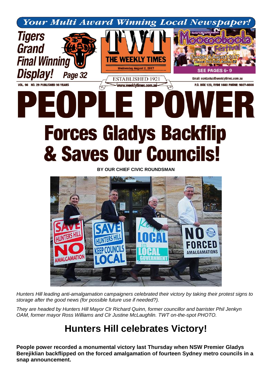

## & Saves Our Councils!

**BY OUR CHIEF CIVIC ROUNDSMAN**



*Hunters Hill leading anti-amalgamation campaigners celebrated their victory by taking their protest signs to storage after the good news (for possible future use if needed?).*

*They are headed by Hunters Hill Mayor Clr Richard Quinn, former councillor and barrister Phil Jenkyn OAM, former mayor Ross Williams and Clr Justine McLaughlin. TWT on-the-spot PHOTO.*

## **Hunters Hill celebrates Victory!**

**People power recorded a monumental victory last Thursday when NSW Premier Gladys Berejiklian backflipped on the forced amalgamation of fourteen Sydney metro councils in a snap announcement.**